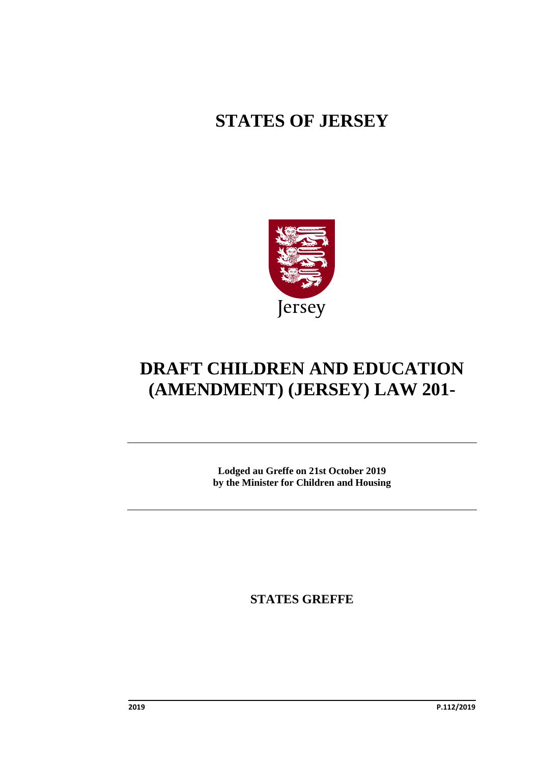# **STATES OF JERSEY**



# **DRAFT CHILDREN AND EDUCATION (AMENDMENT) (JERSEY) LAW 201-**

**Lodged au Greffe on 21st October 2019 by the Minister for Children and Housing**

**STATES GREFFE**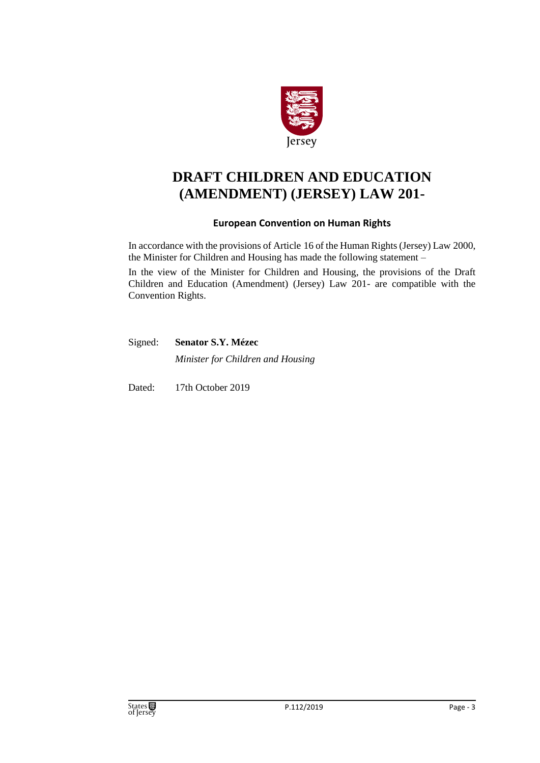

# **DRAFT CHILDREN AND EDUCATION (AMENDMENT) (JERSEY) LAW 201-**

### **European Convention on Human Rights**

In accordance with the provisions of Article 16 of the Human Rights (Jersey) Law 2000, the Minister for Children and Housing has made the following statement –

In the view of the Minister for Children and Housing, the provisions of the Draft Children and Education (Amendment) (Jersey) Law 201- are compatible with the Convention Rights.

Signed: **Senator S.Y. Mézec** *Minister for Children and Housing*

Dated: 17th October 2019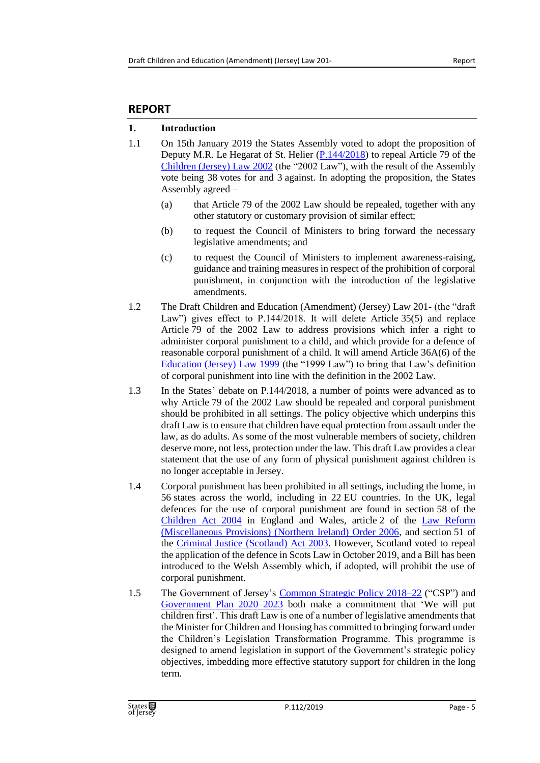# **REPORT**

# **1. Introduction**

- 1.1 On 15th January 2019 the States Assembly voted to adopt the proposition of Deputy M.R. Le Hegarat of St. Helier [\(P.144/2018\)](https://statesassembly.gov.je/Pages/Propositions.aspx?ref=P.144/2018&refurl=%2fPages%2fPropositions.aspx%3fdocumentref%3dP.144%2f2018) to repeal Article 79 of the [Children \(Jersey\) Law 2002](https://www.jerseylaw.je/laws/revised/Pages/12.200.aspx) (the "2002 Law"), with the result of the Assembly vote being 38 votes for and 3 against. In adopting the proposition, the States Assembly agreed –
	- (a) that Article 79 of the 2002 Law should be repealed, together with any other statutory or customary provision of similar effect;
	- (b) to request the Council of Ministers to bring forward the necessary legislative amendments; and
	- (c) to request the Council of Ministers to implement awareness-raising, guidance and training measures in respect of the prohibition of corporal punishment, in conjunction with the introduction of the legislative amendments.
- 1.2 The Draft Children and Education (Amendment) (Jersey) Law 201- (the "draft Law") gives effect to P.144/2018. It will delete Article 35(5) and replace Article 79 of the 2002 Law to address provisions which infer a right to administer corporal punishment to a child, and which provide for a defence of reasonable corporal punishment of a child. It will amend Article 36A(6) of the [Education \(Jersey\) Law 1999](https://www.jerseylaw.je/laws/revised/Pages/10.800.aspx) (the "1999 Law") to bring that Law's definition of corporal punishment into line with the definition in the 2002 Law.
- 1.3 In the States' debate on P.144/2018, a number of points were advanced as to why Article 79 of the 2002 Law should be repealed and corporal punishment should be prohibited in all settings. The policy objective which underpins this draft Law is to ensure that children have equal protection from assault under the law, as do adults. As some of the most vulnerable members of society, children deserve more, not less, protection under the law. This draft Law provides a clear statement that the use of any form of physical punishment against children is no longer acceptable in Jersey.
- 1.4 Corporal punishment has been prohibited in all settings, including the home, in 56 states across the world, including in 22 EU countries. In the UK, legal defences for the use of corporal punishment are found in section 58 of the [Children Act 2004](http://www.legislation.gov.uk/ukpga/2004/31/contents) in England and Wales, article 2 of the [Law Reform](http://www.legislation.gov.uk/nisi/2006/1945/contents)  [\(Miscellaneous Provisions\) \(Northern Ireland\) Order 2006,](http://www.legislation.gov.uk/nisi/2006/1945/contents) and section 51 of the [Criminal Justice \(Scotland\) Act 2003.](http://www.legislation.gov.uk/asp/2003/7/contents) However, Scotland voted to repeal the application of the defence in Scots Law in October 2019, and a Bill has been introduced to the Welsh Assembly which, if adopted, will prohibit the use of corporal punishment.
- 1.5 The Government of Jersey's [Common Strategic Policy 2018–22](https://statesassembly.gov.je/assemblyreports/2019/r.11-2019%20small%20amd%20page%205.pdf) ("CSP") and [Government Plan 2020–2023](https://statesassembly.gov.je/assemblypropositions/2019/p.71-2019.pdf) both make a commitment that 'We will put children first'. This draft Law is one of a number of legislative amendments that the Minister for Children and Housing has committed to bringing forward under the Children's Legislation Transformation Programme. This programme is designed to amend legislation in support of the Government's strategic policy objectives, imbedding more effective statutory support for children in the long term.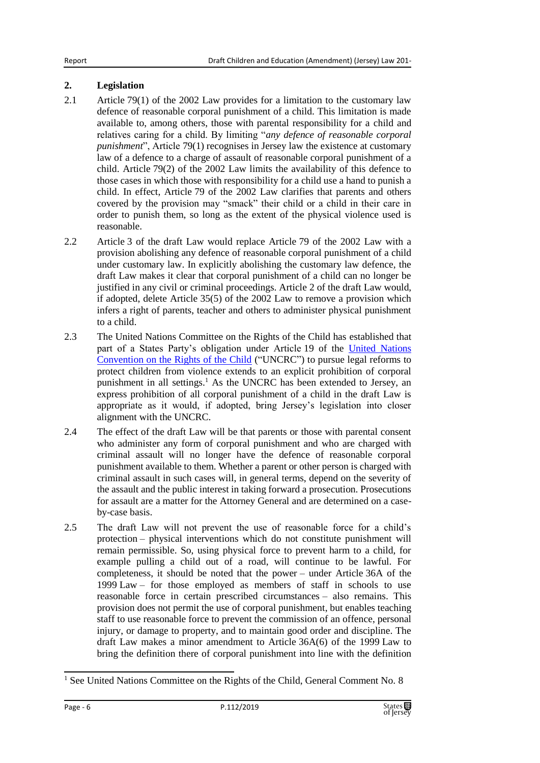## **2. Legislation**

- 2.1 Article 79(1) of the 2002 Law provides for a limitation to the customary law defence of reasonable corporal punishment of a child. This limitation is made available to, among others, those with parental responsibility for a child and relatives caring for a child. By limiting "*any defence of reasonable corporal punishment*", Article 79(1) recognises in Jersey law the existence at customary law of a defence to a charge of assault of reasonable corporal punishment of a child. Article 79(2) of the 2002 Law limits the availability of this defence to those cases in which those with responsibility for a child use a hand to punish a child. In effect, Article 79 of the 2002 Law clarifies that parents and others covered by the provision may "smack" their child or a child in their care in order to punish them, so long as the extent of the physical violence used is reasonable.
- 2.2 Article 3 of the draft Law would replace Article 79 of the 2002 Law with a provision abolishing any defence of reasonable corporal punishment of a child under customary law. In explicitly abolishing the customary law defence, the draft Law makes it clear that corporal punishment of a child can no longer be justified in any civil or criminal proceedings. Article 2 of the draft Law would, if adopted, delete Article 35(5) of the 2002 Law to remove a provision which infers a right of parents, teacher and others to administer physical punishment to a child.
- 2.3 The United Nations Committee on the Rights of the Child has established that part of a States Party's obligation under Article 19 of the [United Nations](https://treaties.un.org/Pages/ViewDetails.aspx?src=IND&mtdsg_no=IV-11&chapter=4&lang=en)  [Convention on the Rights of the Child](https://treaties.un.org/Pages/ViewDetails.aspx?src=IND&mtdsg_no=IV-11&chapter=4&lang=en) ("UNCRC") to pursue legal reforms to protect children from violence extends to an explicit prohibition of corporal punishment in all settings.<sup>1</sup> As the UNCRC has been extended to Jersey, an express prohibition of all corporal punishment of a child in the draft Law is appropriate as it would, if adopted, bring Jersey's legislation into closer alignment with the UNCRC.
- 2.4 The effect of the draft Law will be that parents or those with parental consent who administer any form of corporal punishment and who are charged with criminal assault will no longer have the defence of reasonable corporal punishment available to them. Whether a parent or other person is charged with criminal assault in such cases will, in general terms, depend on the severity of the assault and the public interest in taking forward a prosecution. Prosecutions for assault are a matter for the Attorney General and are determined on a caseby-case basis.
- 2.5 The draft Law will not prevent the use of reasonable force for a child's protection – physical interventions which do not constitute punishment will remain permissible. So, using physical force to prevent harm to a child, for example pulling a child out of a road, will continue to be lawful. For completeness, it should be noted that the power – under Article 36A of the 1999 Law – for those employed as members of staff in schools to use reasonable force in certain prescribed circumstances – also remains. This provision does not permit the use of corporal punishment, but enables teaching staff to use reasonable force to prevent the commission of an offence, personal injury, or damage to property, and to maintain good order and discipline. The draft Law makes a minor amendment to Article 36A(6) of the 1999 Law to bring the definition there of corporal punishment into line with the definition

<sup>&</sup>lt;sup>1</sup> See United Nations Committee on the Rights of the Child, General Comment No. 8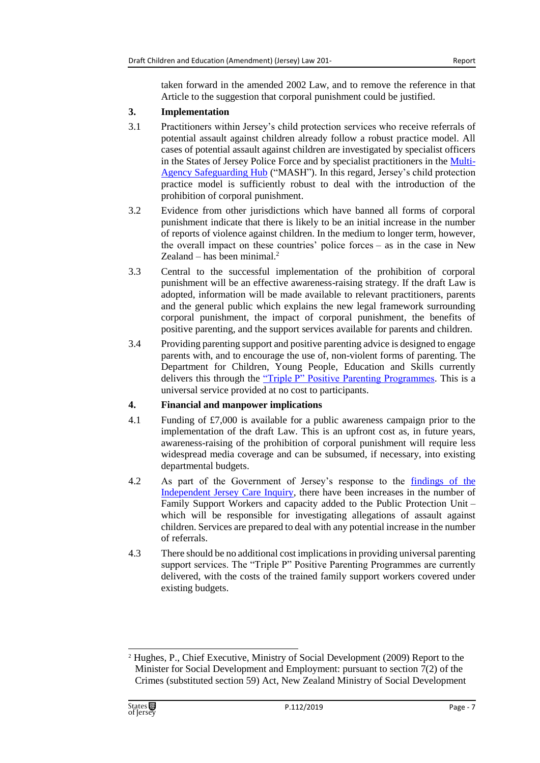taken forward in the amended 2002 Law, and to remove the reference in that Article to the suggestion that corporal punishment could be justified.

#### **3. Implementation**

- 3.1 Practitioners within Jersey's child protection services who receive referrals of potential assault against children already follow a robust practice model. All cases of potential assault against children are investigated by specialist officers in the States of Jersey Police Force and by specialist practitioners in the [Multi-](https://safeguarding.je/multi-agency-safeguarding-hub-mash/)[Agency Safeguarding Hub](https://safeguarding.je/multi-agency-safeguarding-hub-mash/) ("MASH"). In this regard, Jersey's child protection practice model is sufficiently robust to deal with the introduction of the prohibition of corporal punishment.
- 3.2 Evidence from other jurisdictions which have banned all forms of corporal punishment indicate that there is likely to be an initial increase in the number of reports of violence against children. In the medium to longer term, however, the overall impact on these countries' police forces – as in the case in New Zealand – has been minimal. $2$
- 3.3 Central to the successful implementation of the prohibition of corporal punishment will be an effective awareness-raising strategy. If the draft Law is adopted, information will be made available to relevant practitioners, parents and the general public which explains the new legal framework surrounding corporal punishment, the impact of corporal punishment, the benefits of positive parenting, and the support services available for parents and children.
- 3.4 Providing parenting support and positive parenting advice is designed to engage parents with, and to encourage the use of, non-violent forms of parenting. The Department for Children, Young People, Education and Skills currently delivers this through the "Triple [P" Positive Parenting Programmes.](https://www.gov.je/Caring/Organisations/Pages/TriplePProgramme.aspx) This is a universal service provided at no cost to participants.

### **4. Financial and manpower implications**

- 4.1 Funding of £7,000 is available for a public awareness campaign prior to the implementation of the draft Law. This is an upfront cost as, in future years, awareness-raising of the prohibition of corporal punishment will require less widespread media coverage and can be subsumed, if necessary, into existing departmental budgets.
- 4.2 As part of the Government of Jersey's response to the [findings of the](https://statesassembly.gov.je/assemblyreports/2017/r.59-2017%20independent%20jersey%20care%20inquiry%20report%20%20-complete-.pdf)  [Independent Jersey Care Inquiry,](https://statesassembly.gov.je/assemblyreports/2017/r.59-2017%20independent%20jersey%20care%20inquiry%20report%20%20-complete-.pdf) there have been increases in the number of Family Support Workers and capacity added to the Public Protection Unit – which will be responsible for investigating allegations of assault against children. Services are prepared to deal with any potential increase in the number of referrals.
- 4.3 There should be no additional cost implications in providing universal parenting support services. The "Triple P" Positive Parenting Programmes are currently delivered, with the costs of the trained family support workers covered under existing budgets.

<sup>2</sup> Hughes, P., Chief Executive, Ministry of Social Development (2009) Report to the Minister for Social Development and Employment: pursuant to section 7(2) of the Crimes (substituted section 59) Act, New Zealand Ministry of Social Development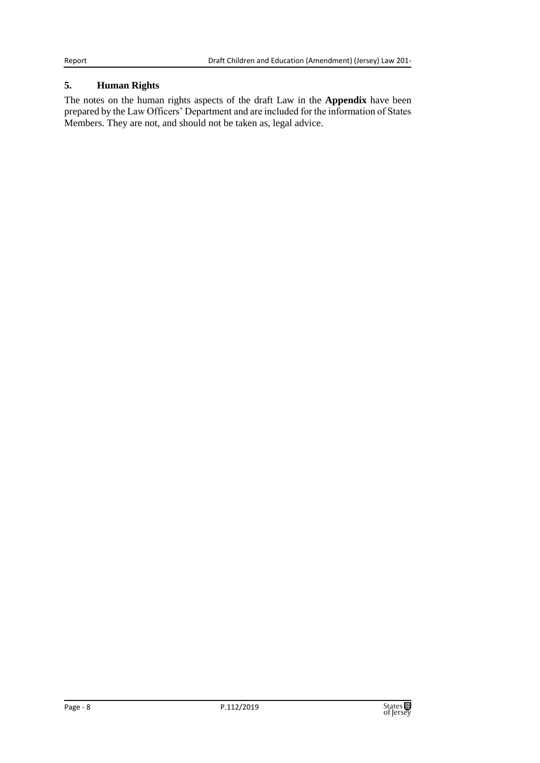### **5. Human Rights**

The notes on the human rights aspects of the draft Law in the **Appendix** have been prepared by the Law Officers' Department and are included for the information of States Members. They are not, and should not be taken as, legal advice.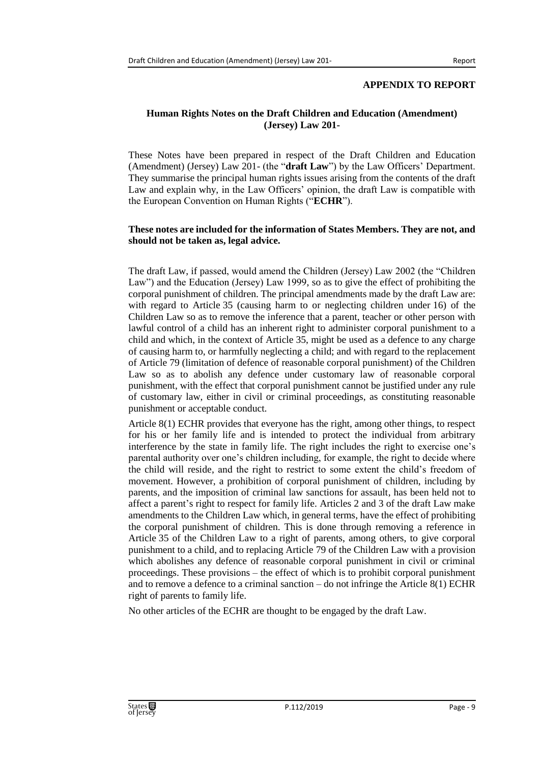#### **APPENDIX TO REPORT**

#### **Human Rights Notes on the Draft Children and Education (Amendment) (Jersey) Law 201-**

These Notes have been prepared in respect of the Draft Children and Education (Amendment) (Jersey) Law 201- (the "**draft Law**") by the Law Officers' Department. They summarise the principal human rights issues arising from the contents of the draft Law and explain why, in the Law Officers' opinion, the draft Law is compatible with the European Convention on Human Rights ("**ECHR**").

#### **These notes are included for the information of States Members. They are not, and should not be taken as, legal advice.**

The draft Law, if passed, would amend the Children (Jersey) Law 2002 (the "Children Law") and the Education (Jersey) Law 1999, so as to give the effect of prohibiting the corporal punishment of children. The principal amendments made by the draft Law are: with regard to Article 35 (causing harm to or neglecting children under 16) of the Children Law so as to remove the inference that a parent, teacher or other person with lawful control of a child has an inherent right to administer corporal punishment to a child and which, in the context of Article 35, might be used as a defence to any charge of causing harm to, or harmfully neglecting a child; and with regard to the replacement of Article 79 (limitation of defence of reasonable corporal punishment) of the Children Law so as to abolish any defence under customary law of reasonable corporal punishment, with the effect that corporal punishment cannot be justified under any rule of customary law, either in civil or criminal proceedings, as constituting reasonable punishment or acceptable conduct.

Article 8(1) ECHR provides that everyone has the right, among other things, to respect for his or her family life and is intended to protect the individual from arbitrary interference by the state in family life. The right includes the right to exercise one's parental authority over one's children including, for example, the right to decide where the child will reside, and the right to restrict to some extent the child's freedom of movement. However, a prohibition of corporal punishment of children, including by parents, and the imposition of criminal law sanctions for assault, has been held not to affect a parent's right to respect for family life. Articles 2 and 3 of the draft Law make amendments to the Children Law which, in general terms, have the effect of prohibiting the corporal punishment of children. This is done through removing a reference in Article 35 of the Children Law to a right of parents, among others, to give corporal punishment to a child, and to replacing Article 79 of the Children Law with a provision which abolishes any defence of reasonable corporal punishment in civil or criminal proceedings. These provisions – the effect of which is to prohibit corporal punishment and to remove a defence to a criminal sanction – do not infringe the Article 8(1) ECHR right of parents to family life.

No other articles of the ECHR are thought to be engaged by the draft Law.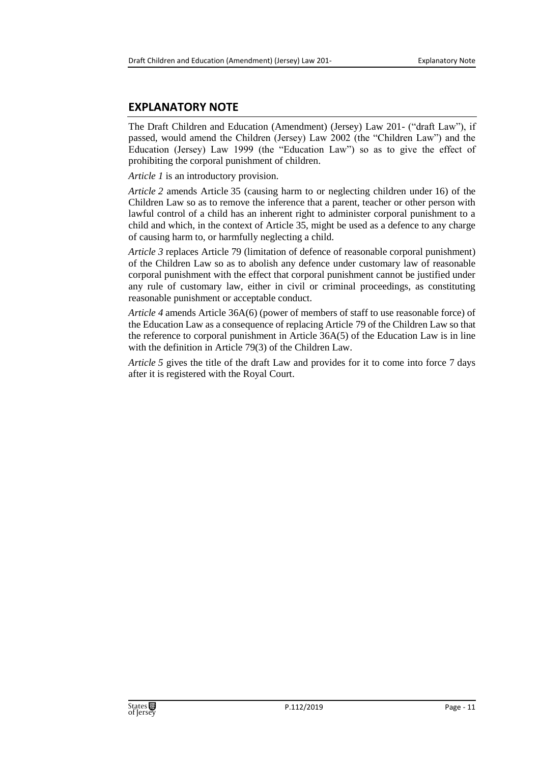## **EXPLANATORY NOTE**

The Draft Children and Education (Amendment) (Jersey) Law 201- ("draft Law"), if passed, would amend the Children (Jersey) Law 2002 (the "Children Law") and the Education (Jersey) Law 1999 (the "Education Law") so as to give the effect of prohibiting the corporal punishment of children.

*Article 1* is an introductory provision.

*Article 2* amends Article 35 (causing harm to or neglecting children under 16) of the Children Law so as to remove the inference that a parent, teacher or other person with lawful control of a child has an inherent right to administer corporal punishment to a child and which, in the context of Article 35, might be used as a defence to any charge of causing harm to, or harmfully neglecting a child.

*Article 3* replaces Article 79 (limitation of defence of reasonable corporal punishment) of the Children Law so as to abolish any defence under customary law of reasonable corporal punishment with the effect that corporal punishment cannot be justified under any rule of customary law, either in civil or criminal proceedings, as constituting reasonable punishment or acceptable conduct.

*Article 4* amends Article 36A(6) (power of members of staff to use reasonable force) of the Education Law as a consequence of replacing Article 79 of the Children Law so that the reference to corporal punishment in Article 36A(5) of the Education Law is in line with the definition in Article 79(3) of the Children Law.

*Article 5* gives the title of the draft Law and provides for it to come into force 7 days after it is registered with the Royal Court.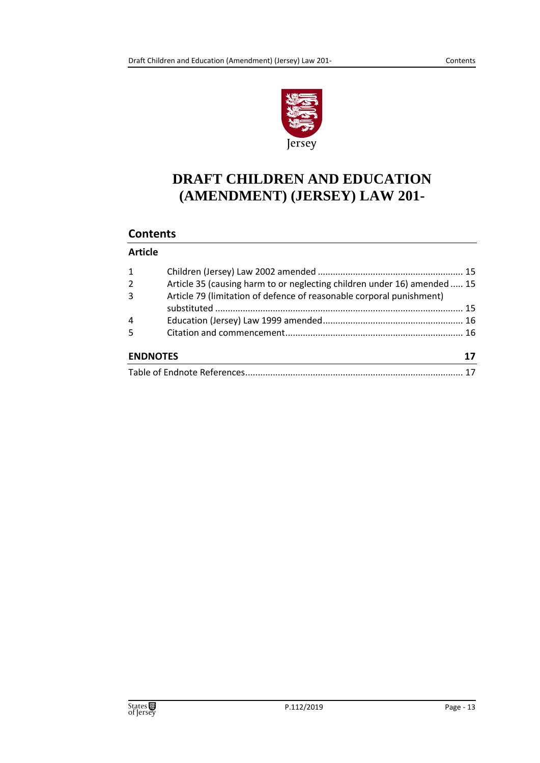

# **DRAFT CHILDREN AND EDUCATION (AMENDMENT) (JERSEY) LAW 201-**

# **Contents**

### **Article**

| 1<br>$\overline{2}$<br>$\overline{3}$ | Article 35 (causing harm to or neglecting children under 16) amended  15<br>Article 79 (limitation of defence of reasonable corporal punishment) |    |
|---------------------------------------|--------------------------------------------------------------------------------------------------------------------------------------------------|----|
|                                       |                                                                                                                                                  |    |
| 4                                     |                                                                                                                                                  |    |
| 5 <sup>1</sup>                        |                                                                                                                                                  |    |
| <b>ENDNOTES</b>                       |                                                                                                                                                  | 17 |
|                                       |                                                                                                                                                  |    |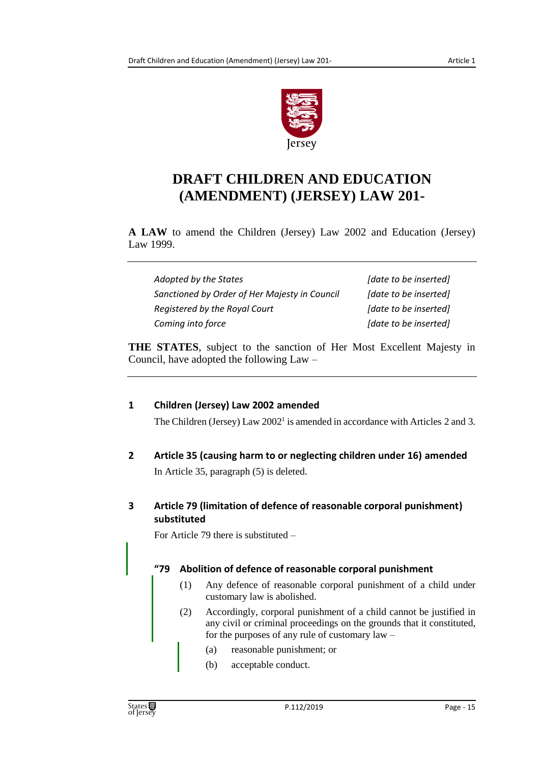

# **DRAFT CHILDREN AND EDUCATION (AMENDMENT) (JERSEY) LAW 201-**

**A LAW** to amend the Children (Jersey) Law 2002 and Education (Jersey) Law 1999.

| Adopted by the States                         | [date to be inserted] |
|-----------------------------------------------|-----------------------|
| Sanctioned by Order of Her Majesty in Council | [date to be inserted] |
| Registered by the Royal Court                 | [date to be inserted] |
| Coming into force                             | [date to be inserted] |

**THE STATES**, subject to the sanction of Her Most Excellent Majesty in Council, have adopted the following Law –

# <span id="page-14-0"></span>**1 Children (Jersey) Law 2002 amended**

The Children (Jersey) Law 2002<sup>1</sup> is amended in accordance with Articles 2 and 3.

- <span id="page-14-1"></span>**2 Article 35 (causing harm to or neglecting children under 16) amended** In Article 35, paragraph (5) is deleted.
- <span id="page-14-2"></span>**3 Article 79 (limitation of defence of reasonable corporal punishment) substituted**

For Article 79 there is substituted –

# **"79 Abolition of defence of reasonable corporal punishment**

- (1) Any defence of reasonable corporal punishment of a child under customary law is abolished.
- (2) Accordingly, corporal punishment of a child cannot be justified in any civil or criminal proceedings on the grounds that it constituted, for the purposes of any rule of customary law –
	- (a) reasonable punishment; or
	- (b) acceptable conduct.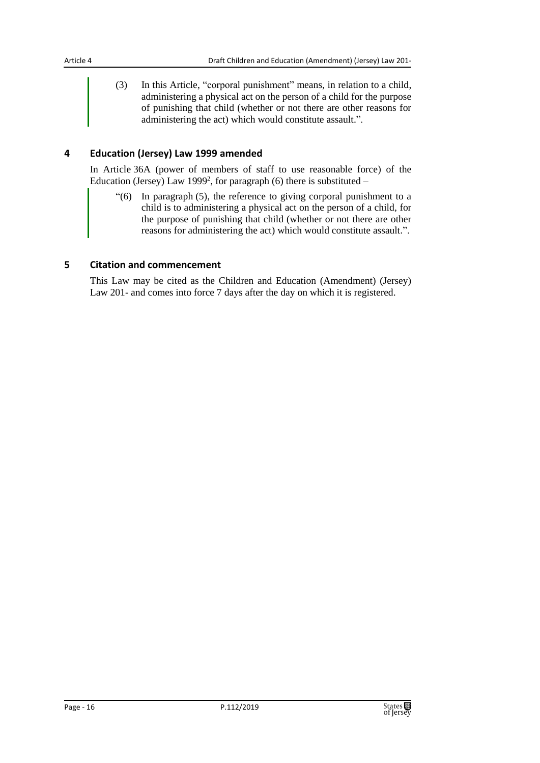(3) In this Article, "corporal punishment" means, in relation to a child, administering a physical act on the person of a child for the purpose of punishing that child (whether or not there are other reasons for administering the act) which would constitute assault.".

#### <span id="page-15-0"></span>**4 Education (Jersey) Law 1999 amended**

In Article 36A (power of members of staff to use reasonable force) of the Education (Jersey) Law 1999<sup>2</sup>, for paragraph (6) there is substituted  $-$ 

"(6) In paragraph (5), the reference to giving corporal punishment to a child is to administering a physical act on the person of a child, for the purpose of punishing that child (whether or not there are other reasons for administering the act) which would constitute assault.".

#### <span id="page-15-1"></span>**5 Citation and commencement**

This Law may be cited as the Children and Education (Amendment) (Jersey) Law 201- and comes into force 7 days after the day on which it is registered.